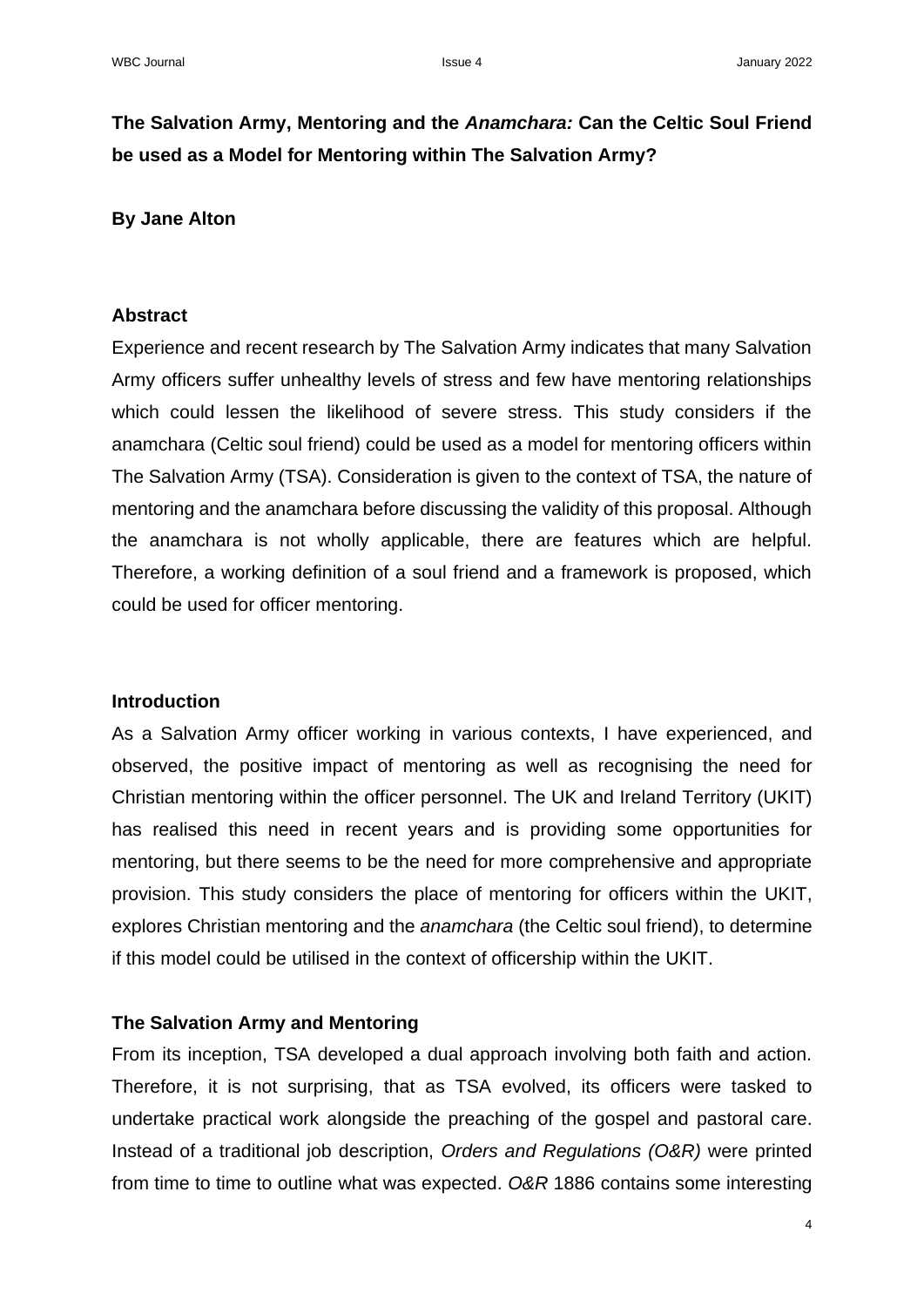# **The Salvation Army, Mentoring and the** *Anamchara:* **Can the Celtic Soul Friend be used as a Model for Mentoring within The Salvation Army?**

### **By Jane Alton**

## **Abstract**

Experience and recent research by The Salvation Army indicates that many Salvation Army officers suffer unhealthy levels of stress and few have mentoring relationships which could lessen the likelihood of severe stress. This study considers if the anamchara (Celtic soul friend) could be used as a model for mentoring officers within The Salvation Army (TSA). Consideration is given to the context of TSA, the nature of mentoring and the anamchara before discussing the validity of this proposal. Although the anamchara is not wholly applicable, there are features which are helpful. Therefore, a working definition of a soul friend and a framework is proposed, which could be used for officer mentoring.

#### **Introduction**

As a Salvation Army officer working in various contexts, I have experienced, and observed, the positive impact of mentoring as well as recognising the need for Christian mentoring within the officer personnel. The UK and Ireland Territory (UKIT) has realised this need in recent years and is providing some opportunities for mentoring, but there seems to be the need for more comprehensive and appropriate provision. This study considers the place of mentoring for officers within the UKIT, explores Christian mentoring and the *anamchara* (the Celtic soul friend), to determine if this model could be utilised in the context of officership within the UKIT.

## **The Salvation Army and Mentoring**

From its inception, TSA developed a dual approach involving both faith and action. Therefore, it is not surprising, that as TSA evolved, its officers were tasked to undertake practical work alongside the preaching of the gospel and pastoral care. Instead of a traditional job description, *Orders and Regulations (O&R)* were printed from time to time to outline what was expected. *O&R* 1886 contains some interesting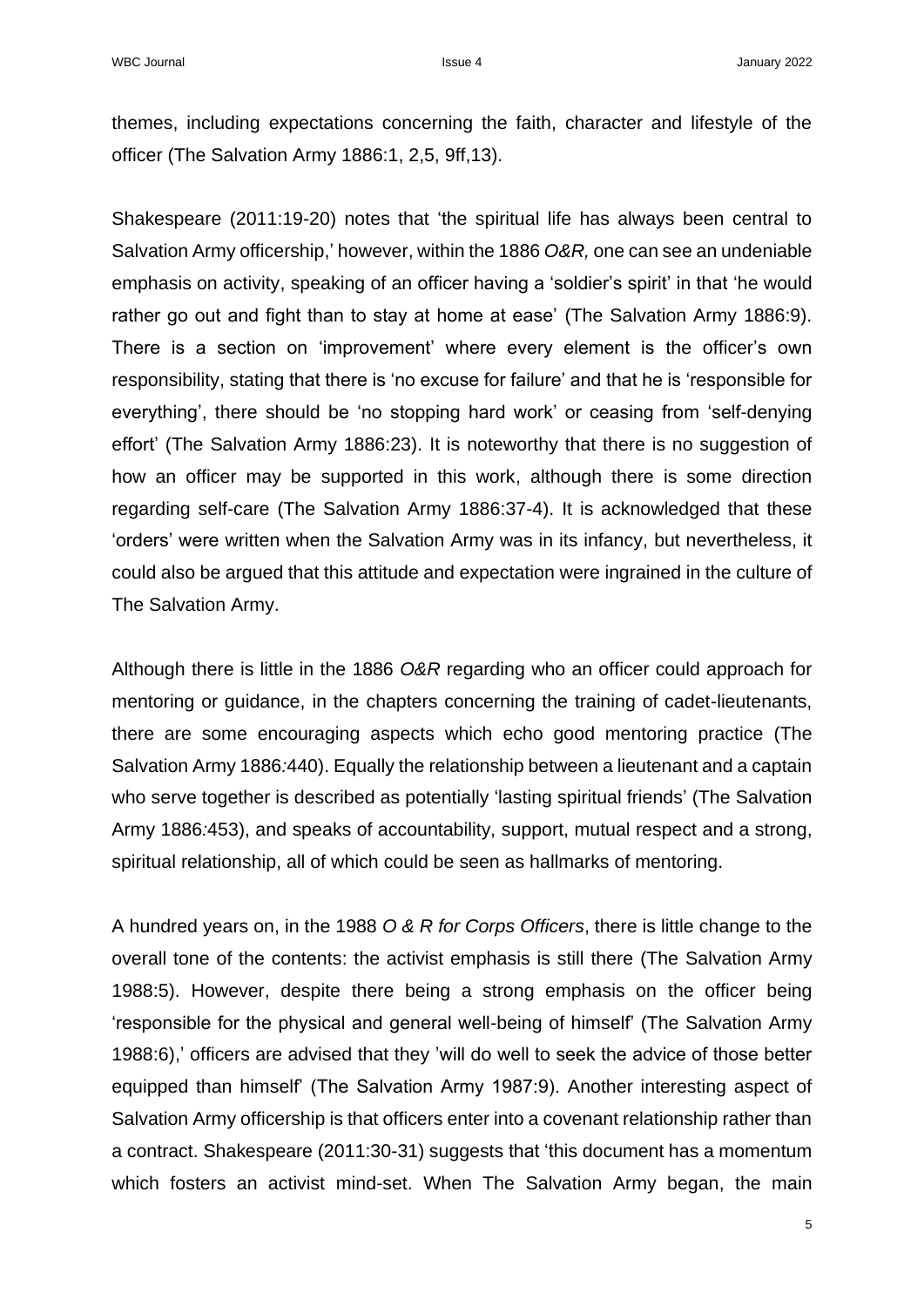themes, including expectations concerning the faith, character and lifestyle of the officer (The Salvation Army 1886:1, 2,5, 9ff,13).

Shakespeare (2011:19-20) notes that 'the spiritual life has always been central to Salvation Army officership,' however, within the 1886 *O&R,* one can see an undeniable emphasis on activity, speaking of an officer having a 'soldier's spirit' in that 'he would rather go out and fight than to stay at home at ease' (The Salvation Army 1886:9). There is a section on 'improvement' where every element is the officer's own responsibility, stating that there is 'no excuse for failure' and that he is 'responsible for everything', there should be 'no stopping hard work' or ceasing from 'self-denying effort' (The Salvation Army 1886:23). It is noteworthy that there is no suggestion of how an officer may be supported in this work, although there is some direction regarding self-care (The Salvation Army 1886:37-4). It is acknowledged that these 'orders' were written when the Salvation Army was in its infancy, but nevertheless, it could also be argued that this attitude and expectation were ingrained in the culture of The Salvation Army.

Although there is little in the 1886 *O&R* regarding who an officer could approach for mentoring or guidance, in the chapters concerning the training of cadet-lieutenants, there are some encouraging aspects which echo good mentoring practice (The Salvation Army 1886*:*440). Equally the relationship between a lieutenant and a captain who serve together is described as potentially 'lasting spiritual friends' (The Salvation Army 1886*:*453), and speaks of accountability, support, mutual respect and a strong, spiritual relationship, all of which could be seen as hallmarks of mentoring.

A hundred years on, in the 1988 *O & R for Corps Officers*, there is little change to the overall tone of the contents: the activist emphasis is still there (The Salvation Army 1988:5). However, despite there being a strong emphasis on the officer being 'responsible for the physical and general well-being of himself' (The Salvation Army 1988:6),' officers are advised that they 'will do well to seek the advice of those better equipped than himself' (The Salvation Army 1987:9). Another interesting aspect of Salvation Army officership is that officers enter into a covenant relationship rather than a contract. Shakespeare (2011:30-31) suggests that 'this document has a momentum which fosters an activist mind-set. When The Salvation Army began, the main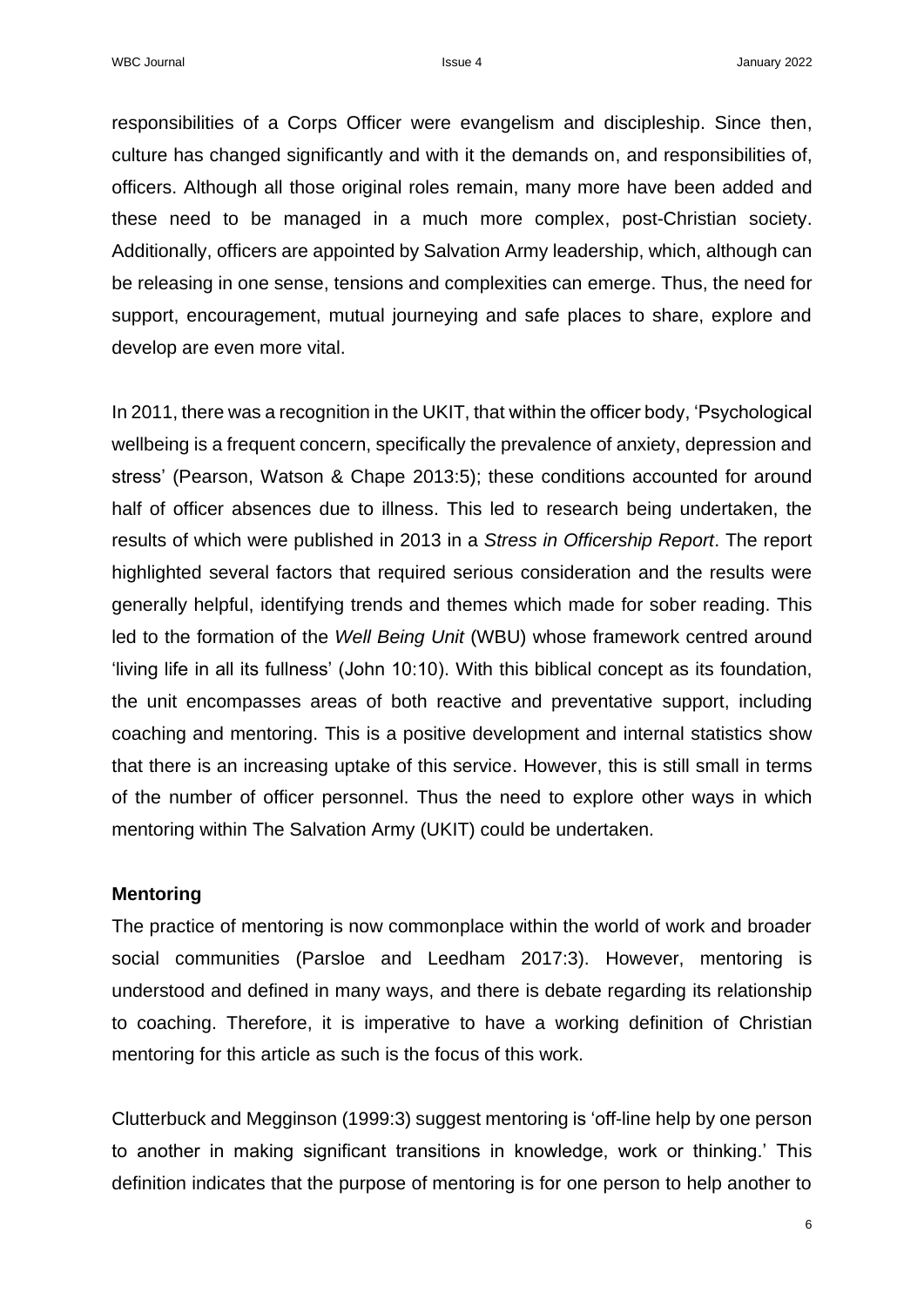responsibilities of a Corps Officer were evangelism and discipleship. Since then, culture has changed significantly and with it the demands on, and responsibilities of, officers. Although all those original roles remain, many more have been added and these need to be managed in a much more complex, post-Christian society. Additionally, officers are appointed by Salvation Army leadership, which, although can be releasing in one sense, tensions and complexities can emerge. Thus, the need for support, encouragement, mutual journeying and safe places to share, explore and develop are even more vital.

In 2011, there was a recognition in the UKIT, that within the officer body, 'Psychological wellbeing is a frequent concern, specifically the prevalence of anxiety, depression and stress' (Pearson, Watson & Chape 2013:5); these conditions accounted for around half of officer absences due to illness. This led to research being undertaken, the results of which were published in 2013 in a *Stress in Officership Report*. The report highlighted several factors that required serious consideration and the results were generally helpful, identifying trends and themes which made for sober reading. This led to the formation of the *Well Being Unit* (WBU) whose framework centred around 'living life in all its fullness' (John 10:10). With this biblical concept as its foundation, the unit encompasses areas of both reactive and preventative support, including coaching and mentoring. This is a positive development and internal statistics show that there is an increasing uptake of this service. However, this is still small in terms of the number of officer personnel. Thus the need to explore other ways in which mentoring within The Salvation Army (UKIT) could be undertaken.

#### **Mentoring**

The practice of mentoring is now commonplace within the world of work and broader social communities (Parsloe and Leedham 2017:3). However, mentoring is understood and defined in many ways, and there is debate regarding its relationship to coaching. Therefore, it is imperative to have a working definition of Christian mentoring for this article as such is the focus of this work.

Clutterbuck and Megginson (1999:3) suggest mentoring is 'off-line help by one person to another in making significant transitions in knowledge, work or thinking.' This definition indicates that the purpose of mentoring is for one person to help another to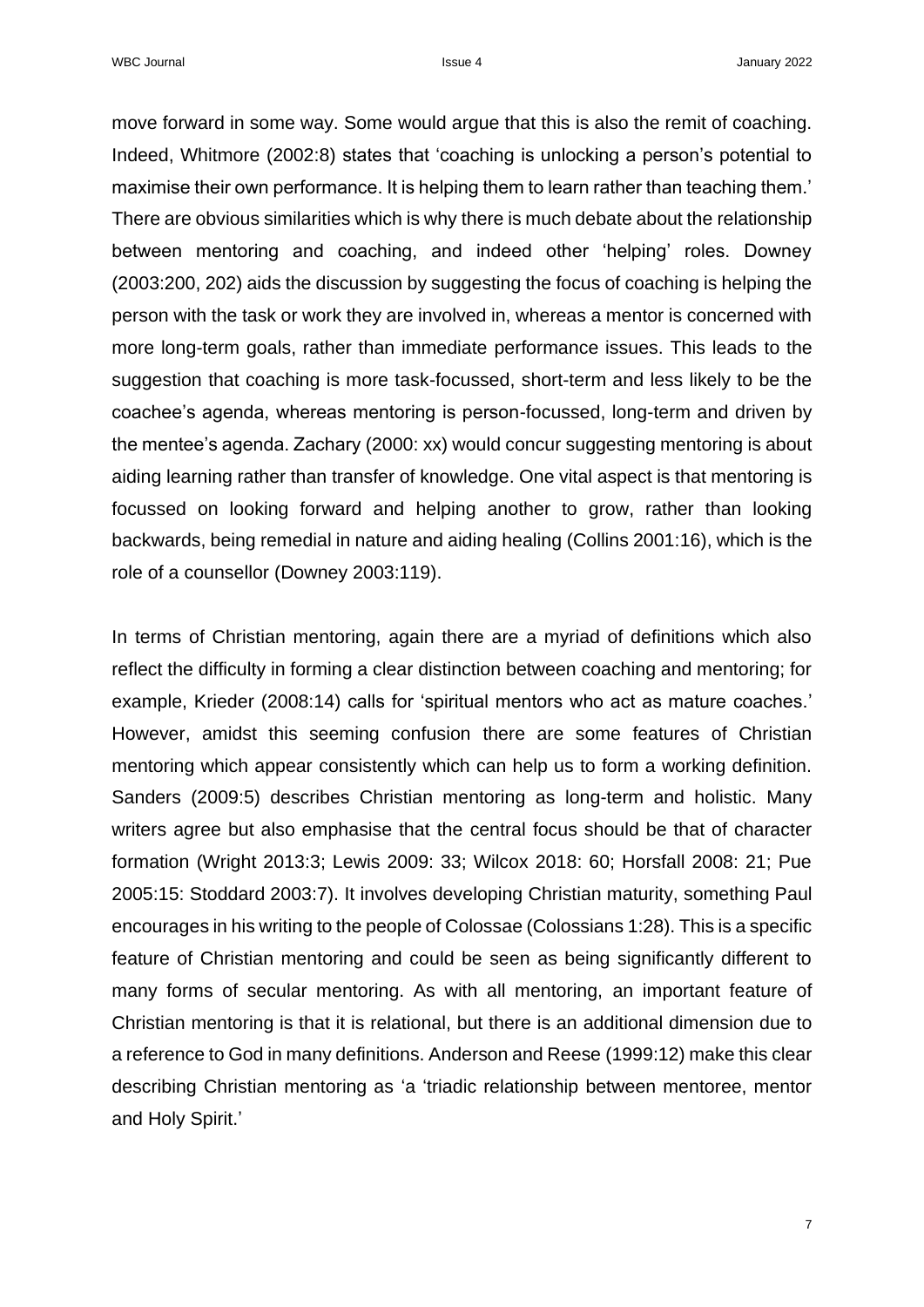move forward in some way. Some would argue that this is also the remit of coaching. Indeed, Whitmore (2002:8) states that 'coaching is unlocking a person's potential to maximise their own performance. It is helping them to learn rather than teaching them.' There are obvious similarities which is why there is much debate about the relationship between mentoring and coaching, and indeed other 'helping' roles. Downey (2003:200, 202) aids the discussion by suggesting the focus of coaching is helping the person with the task or work they are involved in, whereas a mentor is concerned with more long-term goals, rather than immediate performance issues. This leads to the suggestion that coaching is more task-focussed, short-term and less likely to be the coachee's agenda, whereas mentoring is person-focussed, long-term and driven by the mentee's agenda. Zachary (2000: xx) would concur suggesting mentoring is about aiding learning rather than transfer of knowledge. One vital aspect is that mentoring is focussed on looking forward and helping another to grow, rather than looking backwards, being remedial in nature and aiding healing (Collins 2001:16), which is the role of a counsellor (Downey 2003:119).

In terms of Christian mentoring, again there are a myriad of definitions which also reflect the difficulty in forming a clear distinction between coaching and mentoring; for example, Krieder (2008:14) calls for 'spiritual mentors who act as mature coaches.' However, amidst this seeming confusion there are some features of Christian mentoring which appear consistently which can help us to form a working definition. Sanders (2009:5) describes Christian mentoring as long-term and holistic. Many writers agree but also emphasise that the central focus should be that of character formation (Wright 2013:3; Lewis 2009: 33; Wilcox 2018: 60; Horsfall 2008: 21; Pue 2005:15: Stoddard 2003:7). It involves developing Christian maturity, something Paul encourages in his writing to the people of Colossae (Colossians 1:28). This is a specific feature of Christian mentoring and could be seen as being significantly different to many forms of secular mentoring. As with all mentoring, an important feature of Christian mentoring is that it is relational, but there is an additional dimension due to a reference to God in many definitions. Anderson and Reese (1999:12) make this clear describing Christian mentoring as 'a 'triadic relationship between mentoree, mentor and Holy Spirit.'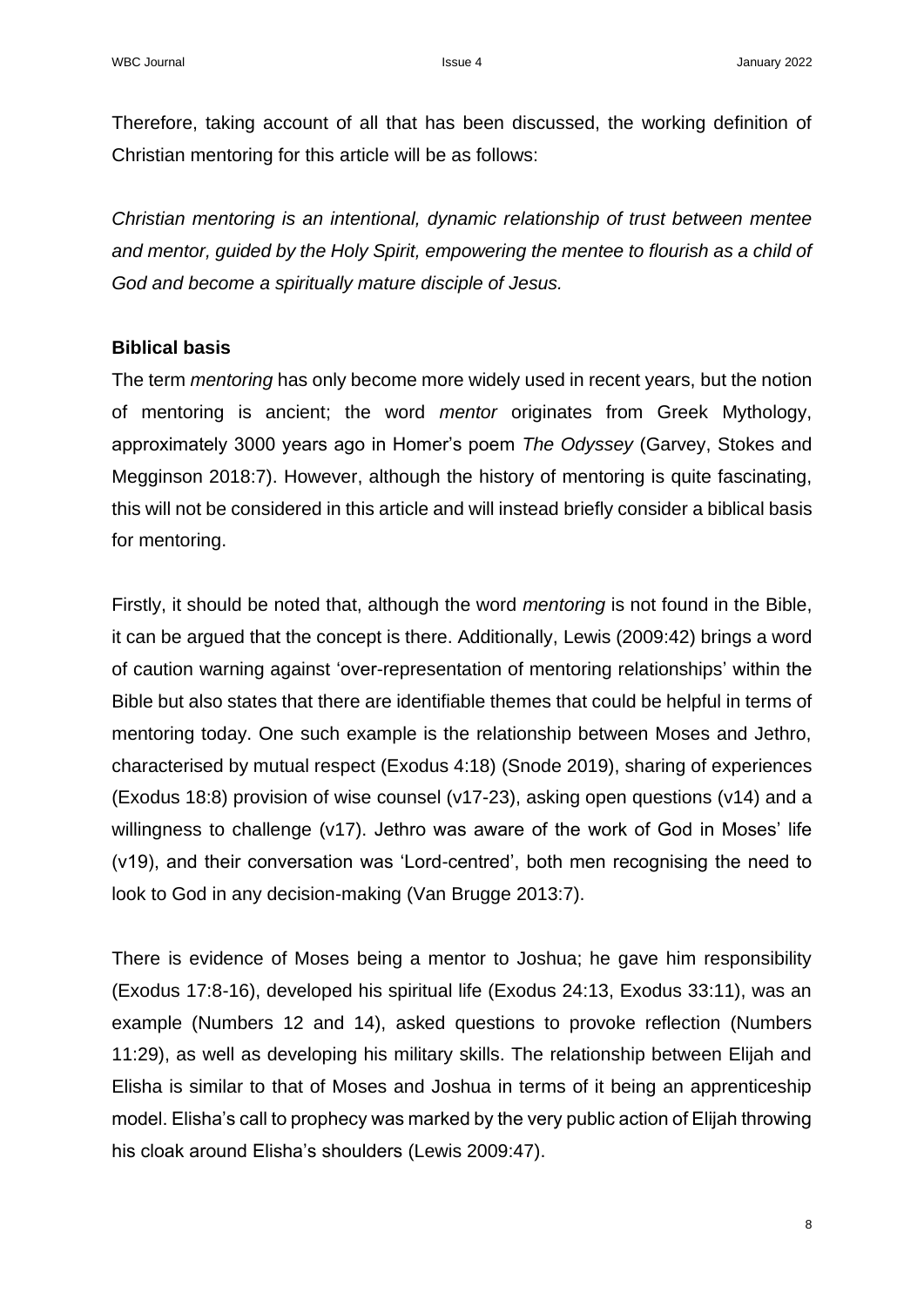Therefore, taking account of all that has been discussed, the working definition of Christian mentoring for this article will be as follows:

*Christian mentoring is an intentional, dynamic relationship of trust between mentee and mentor, guided by the Holy Spirit, empowering the mentee to flourish as a child of God and become a spiritually mature disciple of Jesus.*

## **Biblical basis**

The term *mentoring* has only become more widely used in recent years, but the notion of mentoring is ancient; the word *mentor* originates from Greek Mythology, approximately 3000 years ago in Homer's poem *The Odyssey* (Garvey, Stokes and Megginson 2018:7). However, although the history of mentoring is quite fascinating, this will not be considered in this article and will instead briefly consider a biblical basis for mentoring.

Firstly, it should be noted that, although the word *mentoring* is not found in the Bible, it can be argued that the concept is there. Additionally, Lewis (2009:42) brings a word of caution warning against 'over-representation of mentoring relationships' within the Bible but also states that there are identifiable themes that could be helpful in terms of mentoring today. One such example is the relationship between Moses and Jethro, characterised by mutual respect (Exodus 4:18) (Snode 2019), sharing of experiences (Exodus 18:8) provision of wise counsel (v17-23), asking open questions (v14) and a willingness to challenge (v17). Jethro was aware of the work of God in Moses' life (v19), and their conversation was 'Lord-centred', both men recognising the need to look to God in any decision-making (Van Brugge 2013:7).

There is evidence of Moses being a mentor to Joshua; he gave him responsibility (Exodus 17:8-16), developed his spiritual life (Exodus 24:13, Exodus 33:11), was an example (Numbers 12 and 14), asked questions to provoke reflection (Numbers 11:29), as well as developing his military skills. The relationship between Elijah and Elisha is similar to that of Moses and Joshua in terms of it being an apprenticeship model. Elisha's call to prophecy was marked by the very public action of Elijah throwing his cloak around Elisha's shoulders (Lewis 2009:47).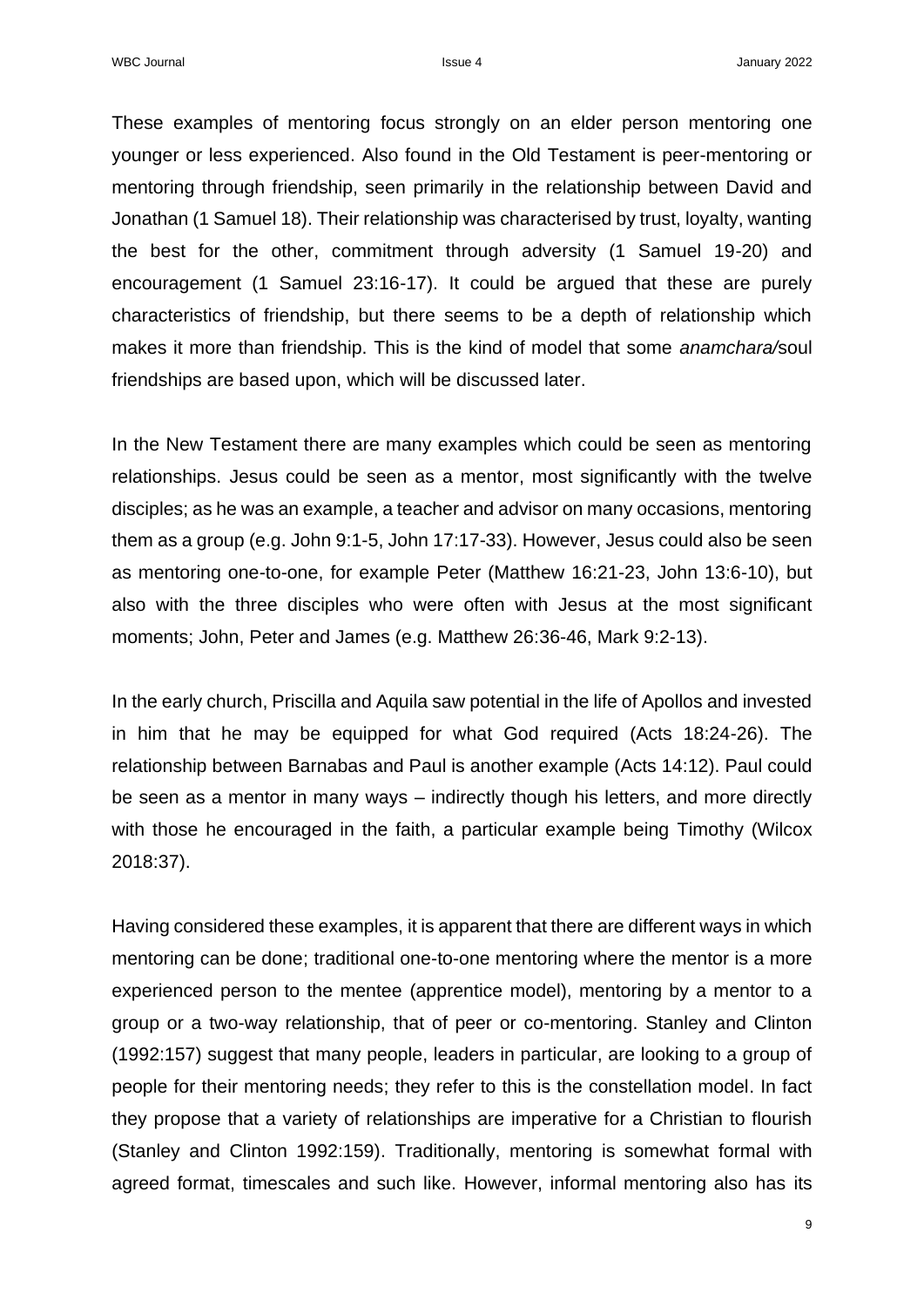These examples of mentoring focus strongly on an elder person mentoring one younger or less experienced. Also found in the Old Testament is peer-mentoring or mentoring through friendship, seen primarily in the relationship between David and Jonathan (1 Samuel 18). Their relationship was characterised by trust, loyalty, wanting the best for the other, commitment through adversity (1 Samuel 19-20) and encouragement (1 Samuel 23:16-17). It could be argued that these are purely characteristics of friendship, but there seems to be a depth of relationship which makes it more than friendship. This is the kind of model that some *anamchara/*soul friendships are based upon, which will be discussed later.

In the New Testament there are many examples which could be seen as mentoring relationships. Jesus could be seen as a mentor, most significantly with the twelve disciples; as he was an example, a teacher and advisor on many occasions, mentoring them as a group (e.g. John 9:1-5, John 17:17-33). However, Jesus could also be seen as mentoring one-to-one, for example Peter (Matthew 16:21-23, John 13:6-10), but also with the three disciples who were often with Jesus at the most significant moments; John, Peter and James (e.g. Matthew 26:36-46, Mark 9:2-13).

In the early church, Priscilla and Aquila saw potential in the life of Apollos and invested in him that he may be equipped for what God required (Acts 18:24-26). The relationship between Barnabas and Paul is another example (Acts 14:12). Paul could be seen as a mentor in many ways – indirectly though his letters, and more directly with those he encouraged in the faith, a particular example being Timothy (Wilcox 2018:37).

Having considered these examples, it is apparent that there are different ways in which mentoring can be done; traditional one-to-one mentoring where the mentor is a more experienced person to the mentee (apprentice model), mentoring by a mentor to a group or a two-way relationship, that of peer or co-mentoring. Stanley and Clinton (1992:157) suggest that many people, leaders in particular, are looking to a group of people for their mentoring needs; they refer to this is the constellation model. In fact they propose that a variety of relationships are imperative for a Christian to flourish (Stanley and Clinton 1992:159). Traditionally, mentoring is somewhat formal with agreed format, timescales and such like. However, informal mentoring also has its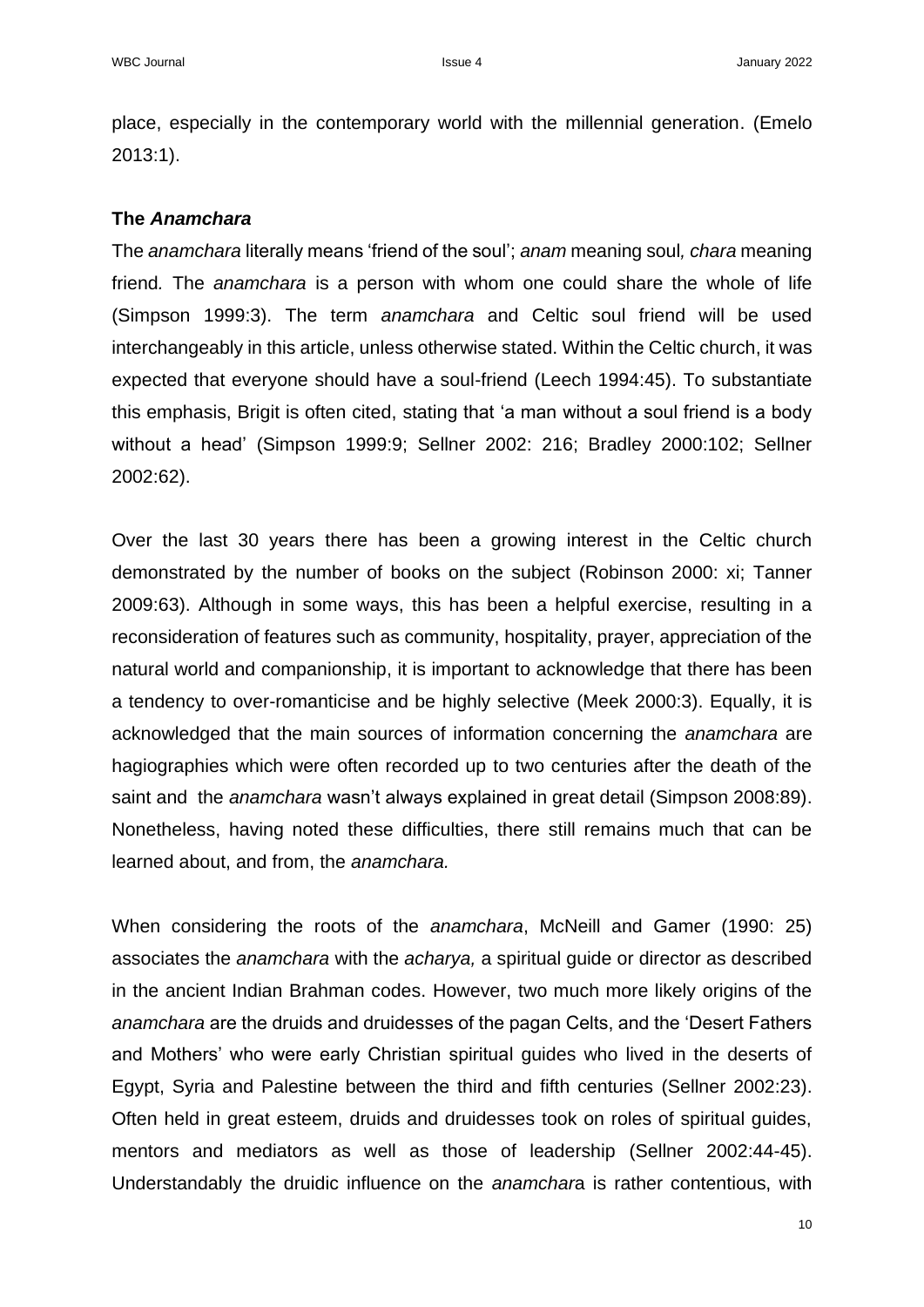place, especially in the contemporary world with the millennial generation. (Emelo 2013:1).

## **The** *Anamchara*

The *anamchara* literally means 'friend of the soul'; *anam* meaning soul*, chara* meaning friend*.* The *anamchara* is a person with whom one could share the whole of life (Simpson 1999:3). The term *anamchara* and Celtic soul friend will be used interchangeably in this article, unless otherwise stated. Within the Celtic church, it was expected that everyone should have a soul-friend (Leech 1994:45). To substantiate this emphasis, Brigit is often cited, stating that 'a man without a soul friend is a body without a head' (Simpson 1999:9; Sellner 2002: 216; Bradley 2000:102; Sellner 2002:62).

Over the last 30 years there has been a growing interest in the Celtic church demonstrated by the number of books on the subject (Robinson 2000: xi; Tanner 2009:63). Although in some ways, this has been a helpful exercise, resulting in a reconsideration of features such as community, hospitality, prayer, appreciation of the natural world and companionship, it is important to acknowledge that there has been a tendency to over-romanticise and be highly selective (Meek 2000:3). Equally, it is acknowledged that the main sources of information concerning the *anamchara* are hagiographies which were often recorded up to two centuries after the death of the saint and the *anamchara* wasn't always explained in great detail (Simpson 2008:89). Nonetheless, having noted these difficulties, there still remains much that can be learned about, and from, the *anamchara.*

When considering the roots of the *anamchara*, McNeill and Gamer (1990: 25) associates the *anamchara* with the *acharya,* a spiritual guide or director as described in the ancient Indian Brahman codes. However, two much more likely origins of the *anamchara* are the druids and druidesses of the pagan Celts, and the 'Desert Fathers and Mothers' who were early Christian spiritual guides who lived in the deserts of Egypt, Syria and Palestine between the third and fifth centuries (Sellner 2002:23). Often held in great esteem, druids and druidesses took on roles of spiritual guides, mentors and mediators as well as those of leadership (Sellner 2002:44-45). Understandably the druidic influence on the *anamchar*a is rather contentious, with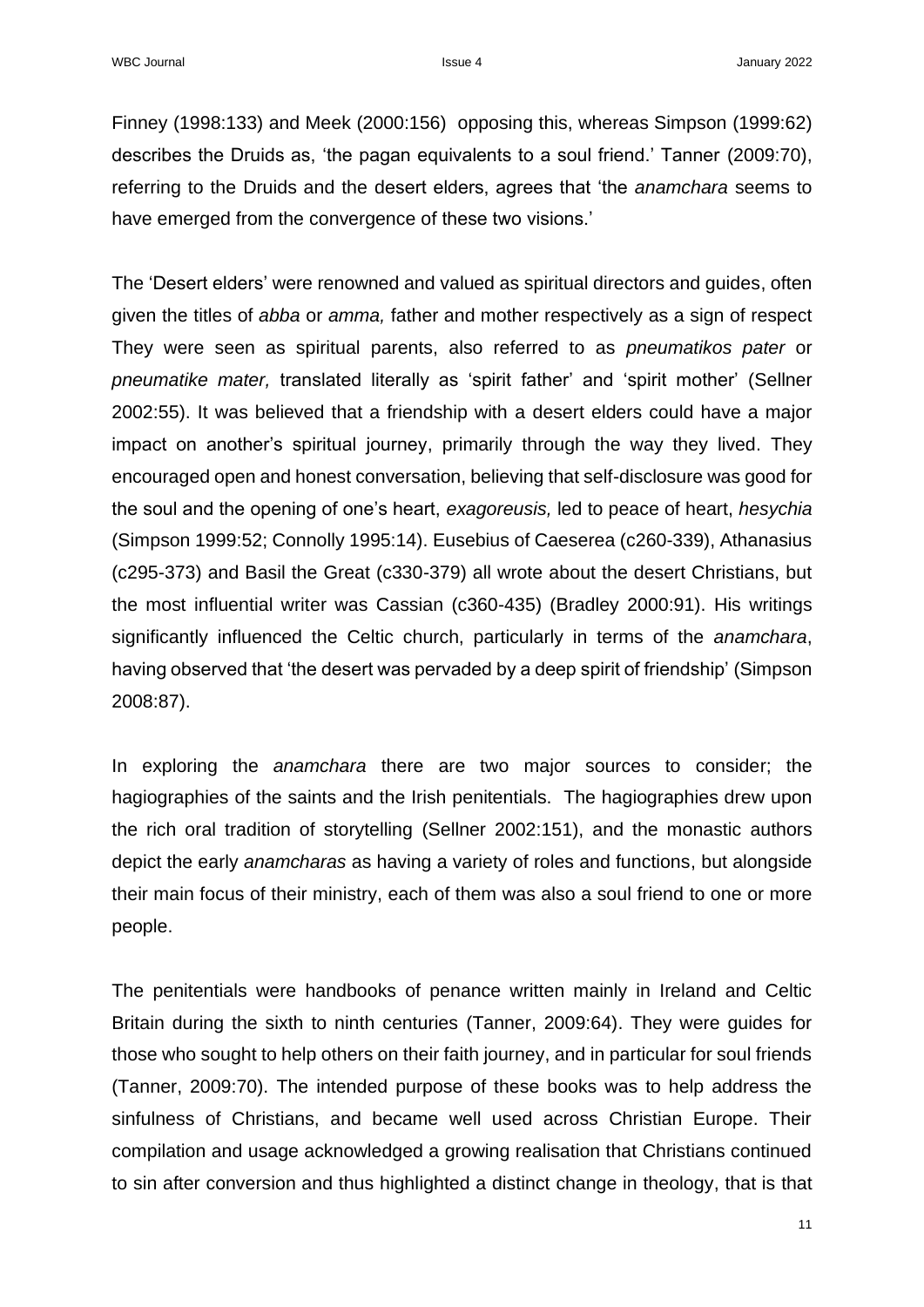Finney (1998:133) and Meek (2000:156) opposing this, whereas Simpson (1999:62) describes the Druids as, 'the pagan equivalents to a soul friend.' Tanner (2009:70), referring to the Druids and the desert elders, agrees that 'the *anamchara* seems to have emerged from the convergence of these two visions.'

The 'Desert elders' were renowned and valued as spiritual directors and guides, often given the titles of *abba* or *amma,* father and mother respectively as a sign of respect They were seen as spiritual parents, also referred to as *pneumatikos pater* or *pneumatike mater,* translated literally as 'spirit father' and 'spirit mother' (Sellner 2002:55). It was believed that a friendship with a desert elders could have a major impact on another's spiritual journey, primarily through the way they lived. They encouraged open and honest conversation, believing that self-disclosure was good for the soul and the opening of one's heart, *exagoreusis,* led to peace of heart, *hesychia* (Simpson 1999:52; Connolly 1995:14). Eusebius of Caeserea (c260-339), Athanasius (c295-373) and Basil the Great (c330-379) all wrote about the desert Christians, but the most influential writer was Cassian (c360-435) (Bradley 2000:91). His writings significantly influenced the Celtic church, particularly in terms of the *anamchara*, having observed that 'the desert was pervaded by a deep spirit of friendship' (Simpson 2008:87).

In exploring the *anamchara* there are two major sources to consider; the hagiographies of the saints and the Irish penitentials. The hagiographies drew upon the rich oral tradition of storytelling (Sellner 2002:151), and the monastic authors depict the early *anamcharas* as having a variety of roles and functions, but alongside their main focus of their ministry, each of them was also a soul friend to one or more people.

The penitentials were handbooks of penance written mainly in Ireland and Celtic Britain during the sixth to ninth centuries (Tanner, 2009:64). They were guides for those who sought to help others on their faith journey, and in particular for soul friends (Tanner, 2009:70). The intended purpose of these books was to help address the sinfulness of Christians, and became well used across Christian Europe. Their compilation and usage acknowledged a growing realisation that Christians continued to sin after conversion and thus highlighted a distinct change in theology, that is that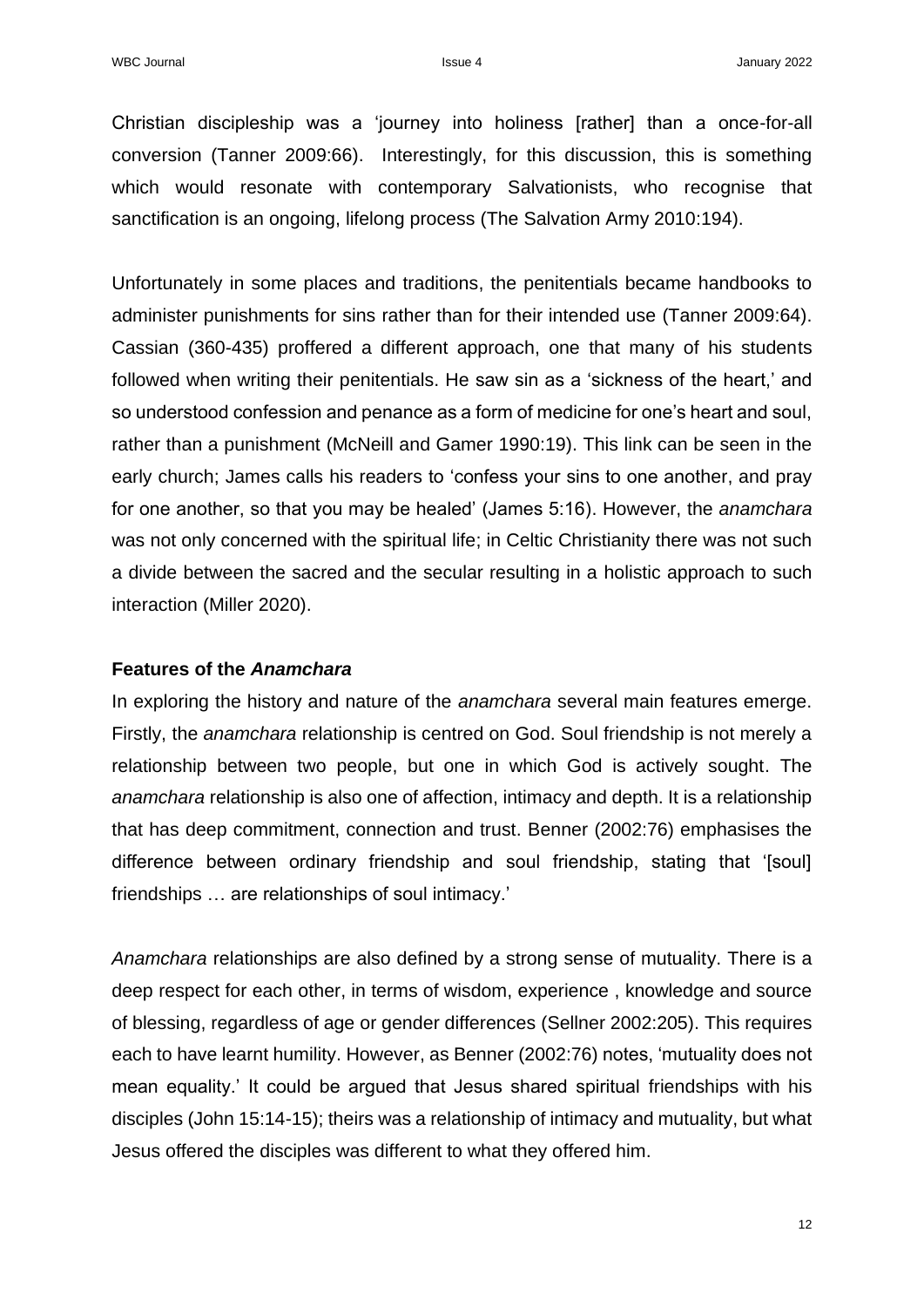Christian discipleship was a 'journey into holiness [rather] than a once-for-all conversion (Tanner 2009:66). Interestingly, for this discussion, this is something which would resonate with contemporary Salvationists, who recognise that sanctification is an ongoing, lifelong process (The Salvation Army 2010:194).

Unfortunately in some places and traditions, the penitentials became handbooks to administer punishments for sins rather than for their intended use (Tanner 2009:64). Cassian (360-435) proffered a different approach, one that many of his students followed when writing their penitentials. He saw sin as a 'sickness of the heart,' and so understood confession and penance as a form of medicine for one's heart and soul, rather than a punishment (McNeill and Gamer 1990:19). This link can be seen in the early church; James calls his readers to 'confess your sins to one another, and pray for one another, so that you may be healed' (James 5:16). However, the *anamchara* was not only concerned with the spiritual life; in Celtic Christianity there was not such a divide between the sacred and the secular resulting in a holistic approach to such interaction (Miller 2020).

#### **Features of the** *Anamchara*

In exploring the history and nature of the *anamchara* several main features emerge. Firstly, the *anamchara* relationship is centred on God. Soul friendship is not merely a relationship between two people, but one in which God is actively sought. The *anamchara* relationship is also one of affection, intimacy and depth. It is a relationship that has deep commitment, connection and trust. Benner (2002:76) emphasises the difference between ordinary friendship and soul friendship, stating that '[soul] friendships … are relationships of soul intimacy.'

*Anamchara* relationships are also defined by a strong sense of mutuality. There is a deep respect for each other, in terms of wisdom, experience , knowledge and source of blessing, regardless of age or gender differences (Sellner 2002:205). This requires each to have learnt humility. However, as Benner (2002:76) notes, 'mutuality does not mean equality.' It could be argued that Jesus shared spiritual friendships with his disciples (John 15:14-15); theirs was a relationship of intimacy and mutuality, but what Jesus offered the disciples was different to what they offered him.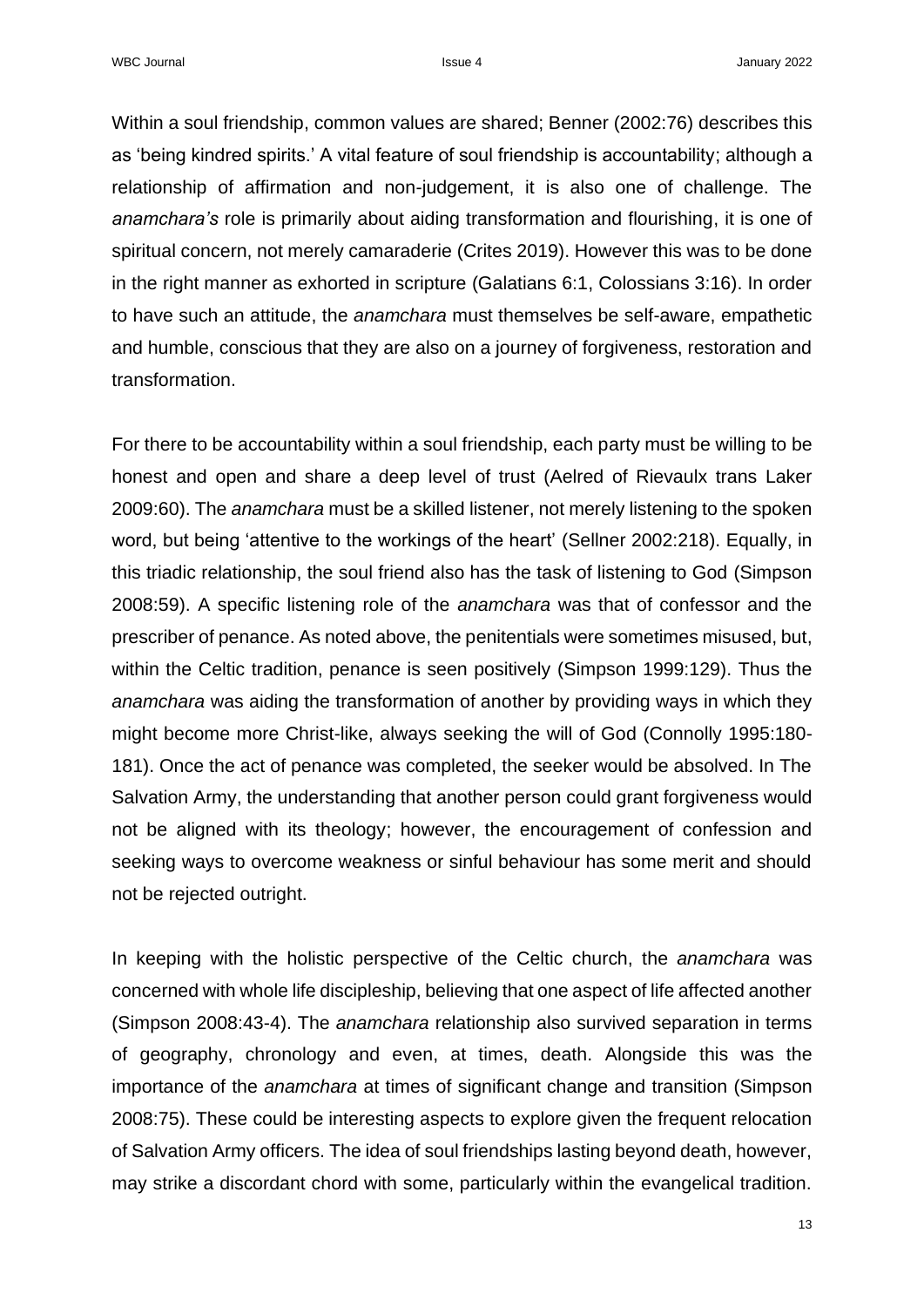Within a soul friendship, common values are shared; Benner (2002:76) describes this as 'being kindred spirits.' A vital feature of soul friendship is accountability; although a relationship of affirmation and non-judgement, it is also one of challenge. The *anamchara's* role is primarily about aiding transformation and flourishing, it is one of spiritual concern, not merely camaraderie (Crites 2019). However this was to be done in the right manner as exhorted in scripture (Galatians 6:1, Colossians 3:16). In order to have such an attitude, the *anamchara* must themselves be self-aware, empathetic and humble, conscious that they are also on a journey of forgiveness, restoration and transformation.

For there to be accountability within a soul friendship, each party must be willing to be honest and open and share a deep level of trust (Aelred of Rievaulx trans Laker 2009:60). The *anamchara* must be a skilled listener, not merely listening to the spoken word, but being 'attentive to the workings of the heart' (Sellner 2002:218). Equally, in this triadic relationship, the soul friend also has the task of listening to God (Simpson 2008:59). A specific listening role of the *anamchara* was that of confessor and the prescriber of penance. As noted above, the penitentials were sometimes misused, but, within the Celtic tradition, penance is seen positively (Simpson 1999:129). Thus the *anamchara* was aiding the transformation of another by providing ways in which they might become more Christ-like, always seeking the will of God (Connolly 1995:180- 181). Once the act of penance was completed, the seeker would be absolved. In The Salvation Army, the understanding that another person could grant forgiveness would not be aligned with its theology; however, the encouragement of confession and seeking ways to overcome weakness or sinful behaviour has some merit and should not be rejected outright.

In keeping with the holistic perspective of the Celtic church, the *anamchara* was concerned with whole life discipleship, believing that one aspect of life affected another (Simpson 2008:43-4). The *anamchara* relationship also survived separation in terms of geography, chronology and even, at times, death. Alongside this was the importance of the *anamchara* at times of significant change and transition (Simpson 2008:75). These could be interesting aspects to explore given the frequent relocation of Salvation Army officers. The idea of soul friendships lasting beyond death, however, may strike a discordant chord with some, particularly within the evangelical tradition.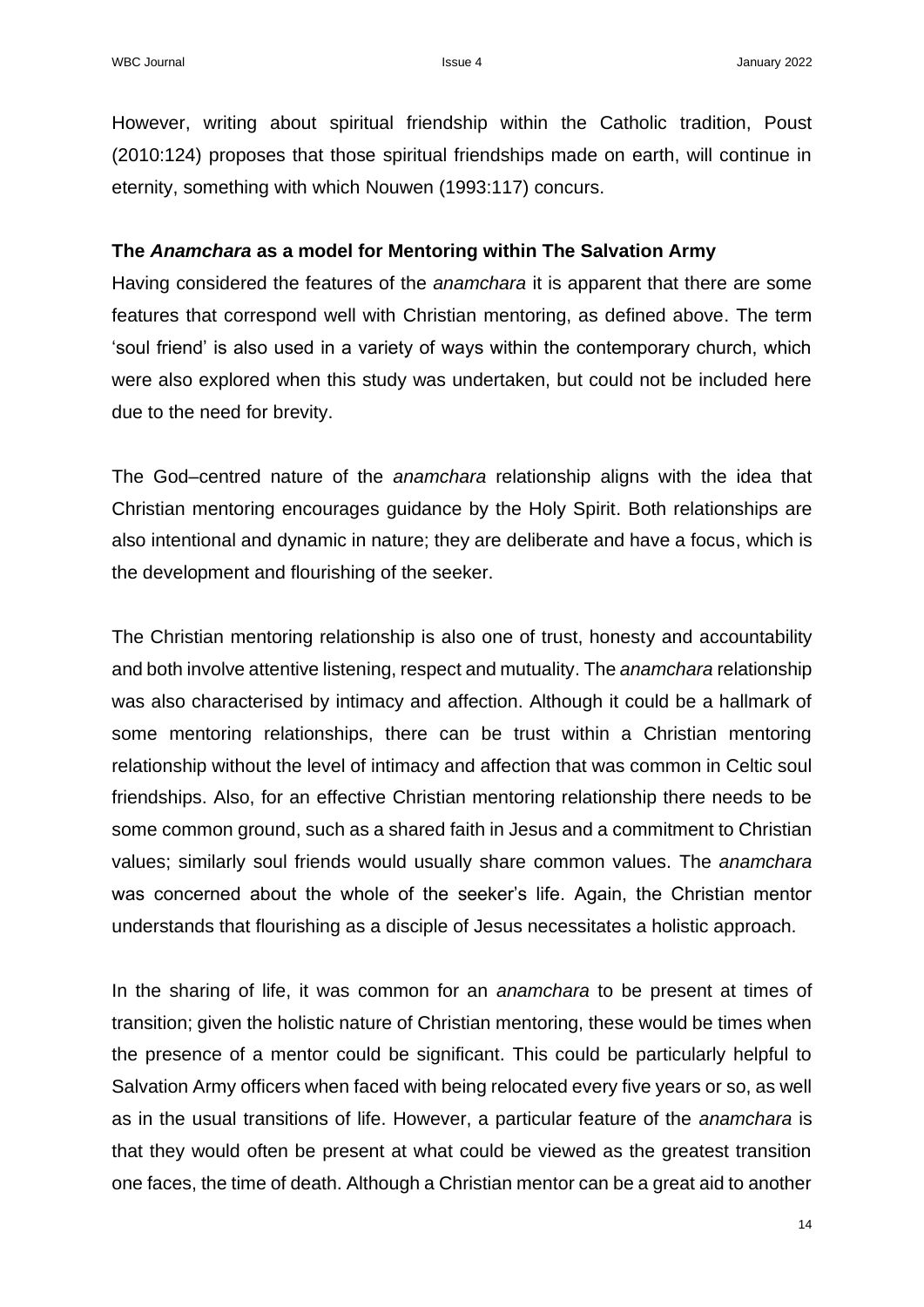However, writing about spiritual friendship within the Catholic tradition, Poust (2010:124) proposes that those spiritual friendships made on earth, will continue in eternity, something with which Nouwen (1993:117) concurs.

## **The** *Anamchara* **as a model for Mentoring within The Salvation Army**

Having considered the features of the *anamchara* it is apparent that there are some features that correspond well with Christian mentoring, as defined above. The term 'soul friend' is also used in a variety of ways within the contemporary church, which were also explored when this study was undertaken, but could not be included here due to the need for brevity.

The God–centred nature of the *anamchara* relationship aligns with the idea that Christian mentoring encourages guidance by the Holy Spirit. Both relationships are also intentional and dynamic in nature; they are deliberate and have a focus, which is the development and flourishing of the seeker.

The Christian mentoring relationship is also one of trust, honesty and accountability and both involve attentive listening, respect and mutuality. The *anamchara* relationship was also characterised by intimacy and affection. Although it could be a hallmark of some mentoring relationships, there can be trust within a Christian mentoring relationship without the level of intimacy and affection that was common in Celtic soul friendships. Also, for an effective Christian mentoring relationship there needs to be some common ground, such as a shared faith in Jesus and a commitment to Christian values; similarly soul friends would usually share common values. The *anamchara*  was concerned about the whole of the seeker's life. Again, the Christian mentor understands that flourishing as a disciple of Jesus necessitates a holistic approach.

In the sharing of life, it was common for an *anamchara* to be present at times of transition; given the holistic nature of Christian mentoring, these would be times when the presence of a mentor could be significant. This could be particularly helpful to Salvation Army officers when faced with being relocated every five years or so, as well as in the usual transitions of life. However, a particular feature of the *anamchara* is that they would often be present at what could be viewed as the greatest transition one faces, the time of death. Although a Christian mentor can be a great aid to another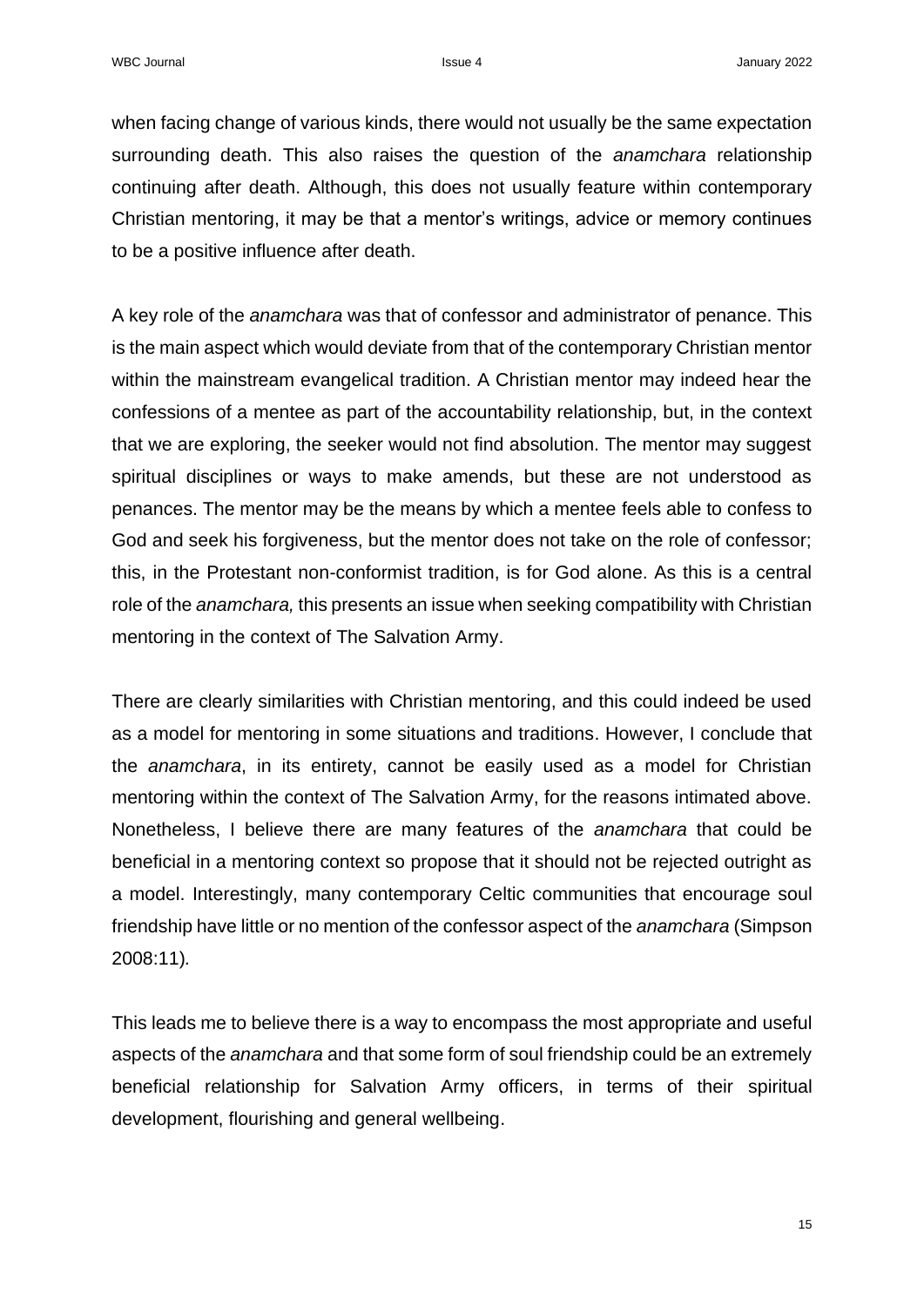when facing change of various kinds, there would not usually be the same expectation surrounding death. This also raises the question of the *anamchara* relationship continuing after death. Although, this does not usually feature within contemporary Christian mentoring, it may be that a mentor's writings, advice or memory continues to be a positive influence after death.

A key role of the *anamchara* was that of confessor and administrator of penance. This is the main aspect which would deviate from that of the contemporary Christian mentor within the mainstream evangelical tradition. A Christian mentor may indeed hear the confessions of a mentee as part of the accountability relationship, but, in the context that we are exploring, the seeker would not find absolution. The mentor may suggest spiritual disciplines or ways to make amends, but these are not understood as penances. The mentor may be the means by which a mentee feels able to confess to God and seek his forgiveness, but the mentor does not take on the role of confessor; this, in the Protestant non-conformist tradition, is for God alone. As this is a central role of the *anamchara,* this presents an issue when seeking compatibility with Christian mentoring in the context of The Salvation Army.

There are clearly similarities with Christian mentoring, and this could indeed be used as a model for mentoring in some situations and traditions. However, I conclude that the *anamchara*, in its entirety, cannot be easily used as a model for Christian mentoring within the context of The Salvation Army, for the reasons intimated above. Nonetheless, I believe there are many features of the *anamchara* that could be beneficial in a mentoring context so propose that it should not be rejected outright as a model. Interestingly, many contemporary Celtic communities that encourage soul friendship have little or no mention of the confessor aspect of the *anamchara* (Simpson 2008:11)*.* 

This leads me to believe there is a way to encompass the most appropriate and useful aspects of the *anamchara* and that some form of soul friendship could be an extremely beneficial relationship for Salvation Army officers, in terms of their spiritual development, flourishing and general wellbeing.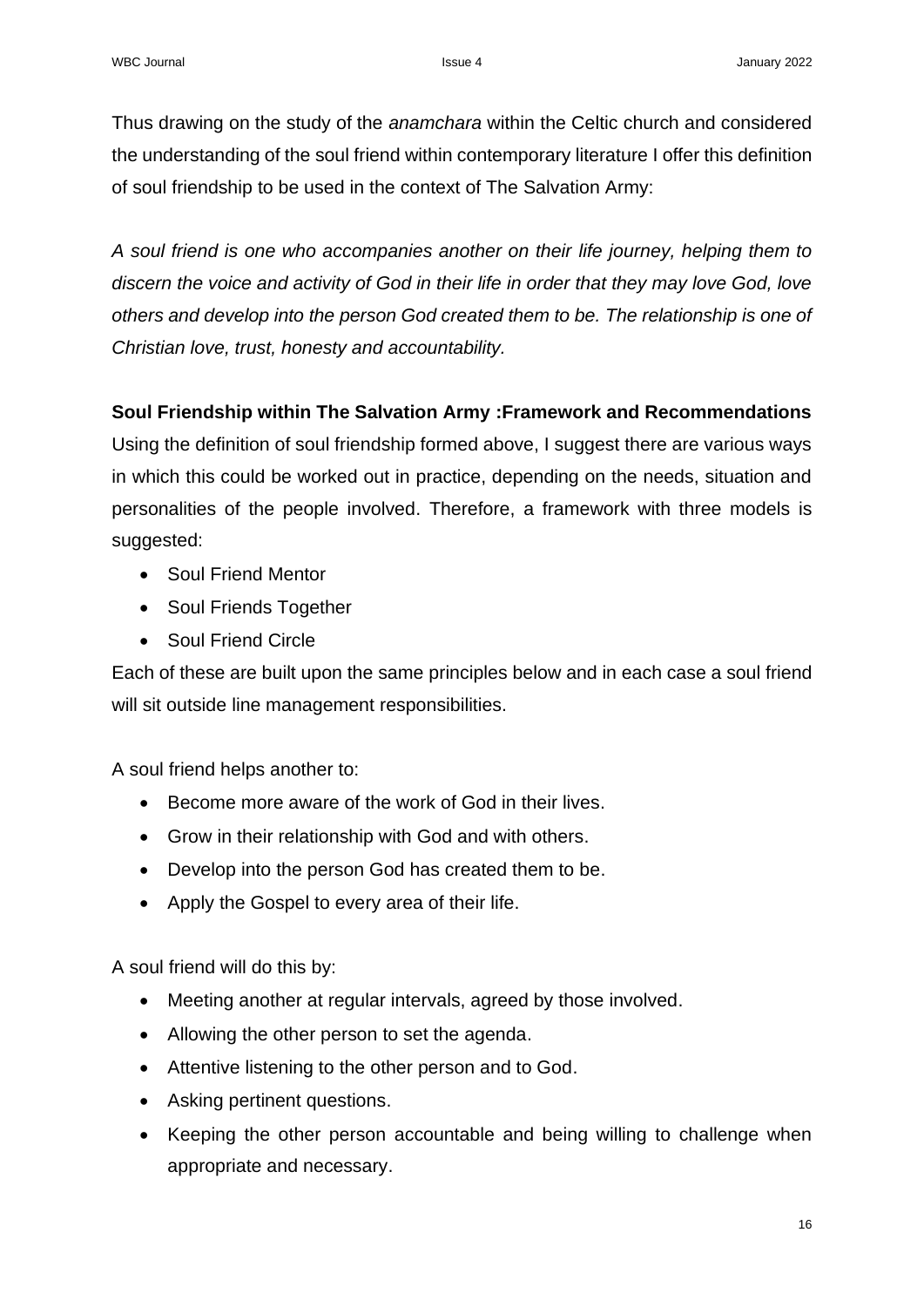Thus drawing on the study of the *anamchara* within the Celtic church and considered the understanding of the soul friend within contemporary literature I offer this definition of soul friendship to be used in the context of The Salvation Army:

*A soul friend is one who accompanies another on their life journey, helping them to discern the voice and activity of God in their life in order that they may love God, love others and develop into the person God created them to be. The relationship is one of Christian love, trust, honesty and accountability.*

# **Soul Friendship within The Salvation Army :Framework and Recommendations**

Using the definition of soul friendship formed above, I suggest there are various ways in which this could be worked out in practice, depending on the needs, situation and personalities of the people involved. Therefore, a framework with three models is suggested:

- Soul Friend Mentor
- Soul Friends Together
- Soul Friend Circle

Each of these are built upon the same principles below and in each case a soul friend will sit outside line management responsibilities.

A soul friend helps another to:

- Become more aware of the work of God in their lives.
- Grow in their relationship with God and with others.
- Develop into the person God has created them to be.
- Apply the Gospel to every area of their life.

A soul friend will do this by:

- Meeting another at regular intervals, agreed by those involved.
- Allowing the other person to set the agenda.
- Attentive listening to the other person and to God.
- Asking pertinent questions.
- Keeping the other person accountable and being willing to challenge when appropriate and necessary.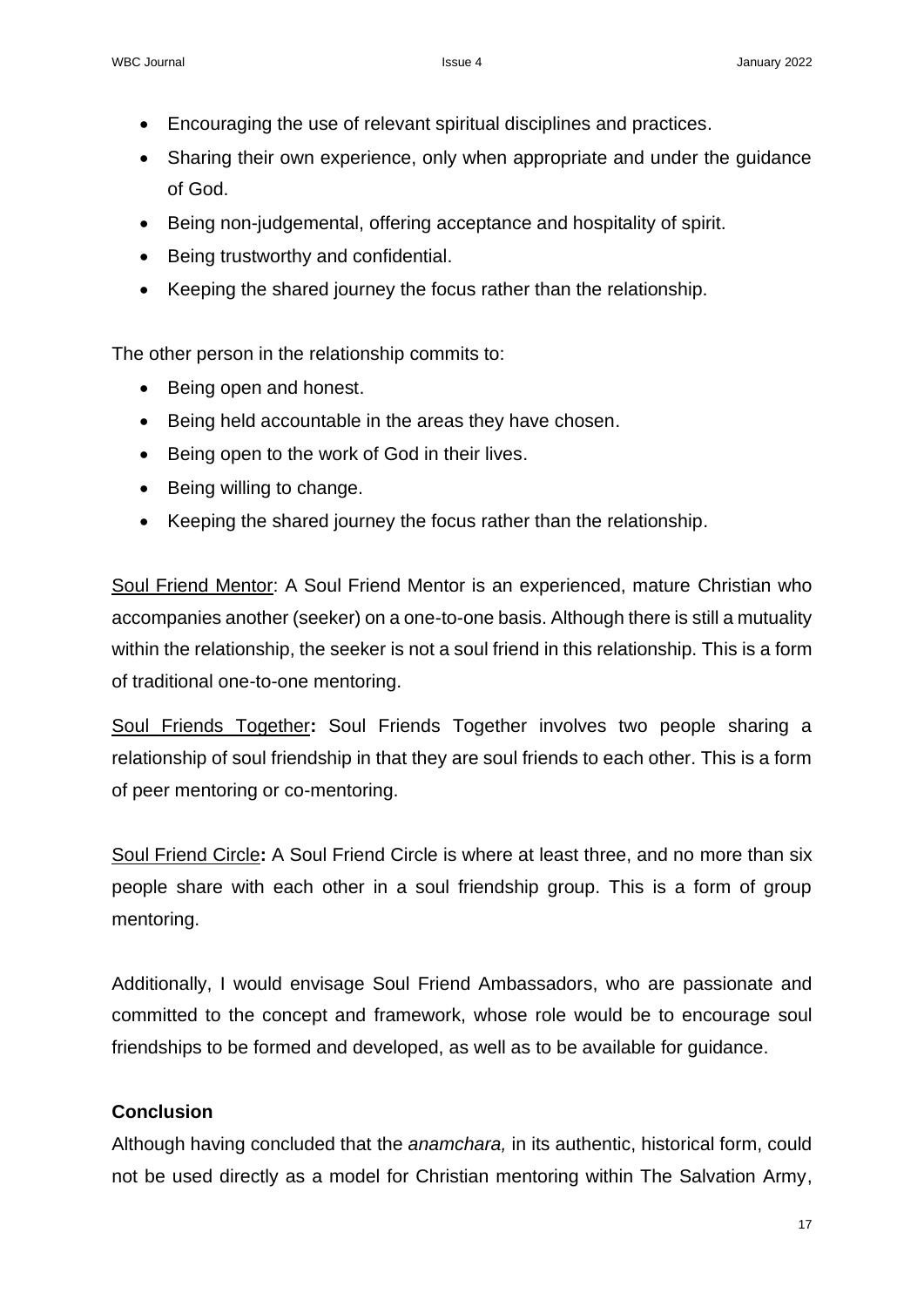- Encouraging the use of relevant spiritual disciplines and practices.
- Sharing their own experience, only when appropriate and under the guidance of God.
- Being non-judgemental, offering acceptance and hospitality of spirit.
- Being trustworthy and confidential.
- Keeping the shared journey the focus rather than the relationship.

The other person in the relationship commits to:

- Being open and honest.
- Being held accountable in the areas they have chosen.
- Being open to the work of God in their lives.
- Being willing to change.
- Keeping the shared journey the focus rather than the relationship.

Soul Friend Mentor: A Soul Friend Mentor is an experienced, mature Christian who accompanies another (seeker) on a one-to-one basis. Although there is still a mutuality within the relationship, the seeker is not a soul friend in this relationship. This is a form of traditional one-to-one mentoring.

Soul Friends Together**:** Soul Friends Together involves two people sharing a relationship of soul friendship in that they are soul friends to each other. This is a form of peer mentoring or co-mentoring.

Soul Friend Circle**:** A Soul Friend Circle is where at least three, and no more than six people share with each other in a soul friendship group. This is a form of group mentoring.

Additionally, I would envisage Soul Friend Ambassadors, who are passionate and committed to the concept and framework, whose role would be to encourage soul friendships to be formed and developed, as well as to be available for guidance.

# **Conclusion**

Although having concluded that the *anamchara,* in its authentic, historical form, could not be used directly as a model for Christian mentoring within The Salvation Army,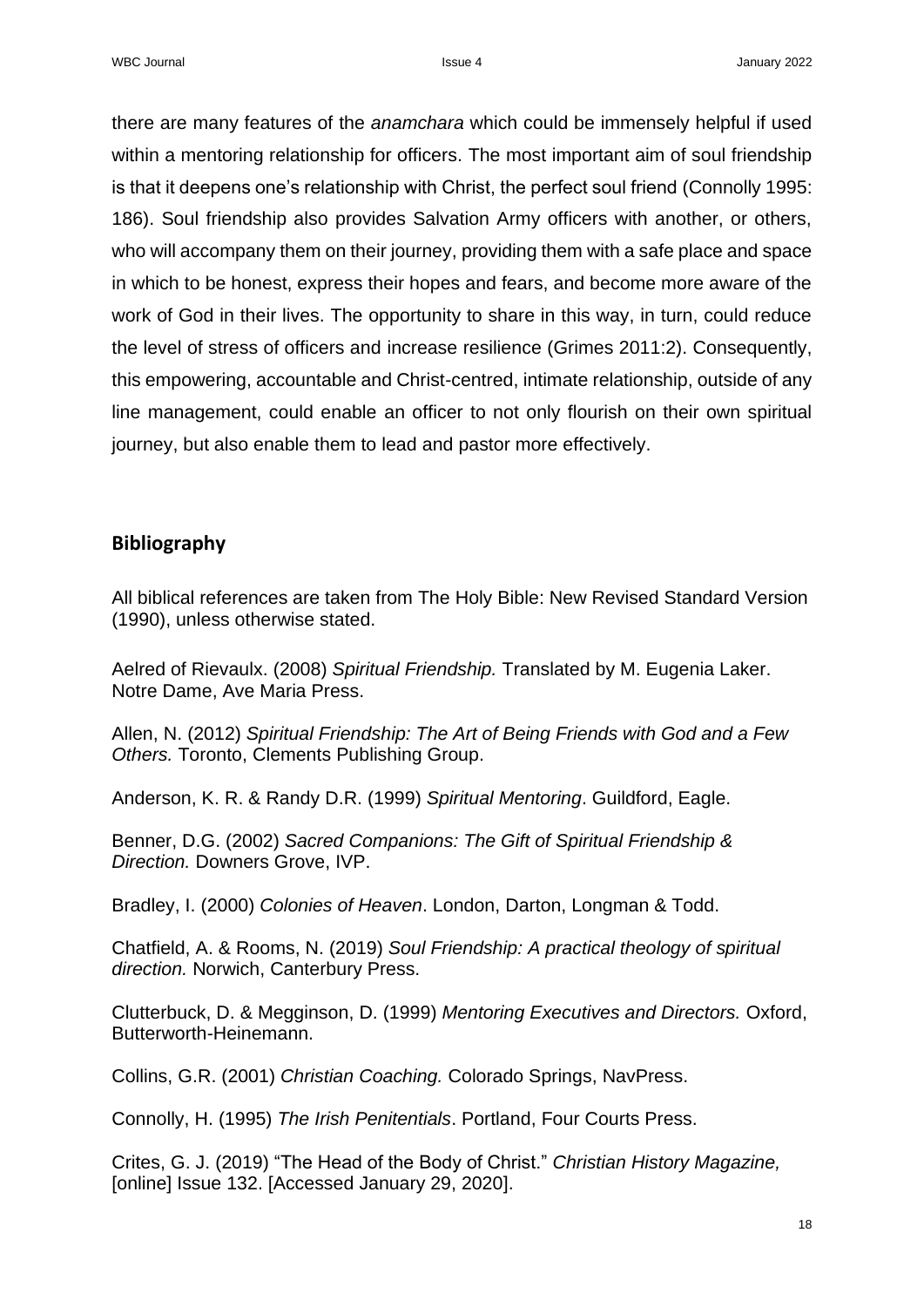there are many features of the *anamchara* which could be immensely helpful if used within a mentoring relationship for officers. The most important aim of soul friendship is that it deepens one's relationship with Christ, the perfect soul friend (Connolly 1995: 186). Soul friendship also provides Salvation Army officers with another, or others, who will accompany them on their journey, providing them with a safe place and space in which to be honest, express their hopes and fears, and become more aware of the work of God in their lives. The opportunity to share in this way, in turn, could reduce the level of stress of officers and increase resilience (Grimes 2011:2). Consequently, this empowering, accountable and Christ-centred, intimate relationship, outside of any line management, could enable an officer to not only flourish on their own spiritual journey, but also enable them to lead and pastor more effectively.

## **Bibliography**

All biblical references are taken from The Holy Bible: New Revised Standard Version (1990), unless otherwise stated.

Aelred of Rievaulx. (2008) *Spiritual Friendship.* Translated by M. Eugenia Laker. Notre Dame, Ave Maria Press.

Allen, N. (2012) *Spiritual Friendship: The Art of Being Friends with God and a Few Others.* Toronto, Clements Publishing Group.

Anderson, K. R. & Randy D.R. (1999) *Spiritual Mentoring*. Guildford, Eagle.

Benner, D.G. (2002) *Sacred Companions: The Gift of Spiritual Friendship & Direction.* Downers Grove, IVP.

Bradley, I. (2000) *Colonies of Heaven*. London, Darton, Longman & Todd.

Chatfield, A. & Rooms, N. (2019) *Soul Friendship: A practical theology of spiritual direction.* Norwich, Canterbury Press.

Clutterbuck, D. & Megginson, D. (1999) *Mentoring Executives and Directors.* Oxford, Butterworth-Heinemann.

Collins, G.R. (2001) *Christian Coaching.* Colorado Springs, NavPress.

Connolly, H. (1995) *The Irish Penitentials*. Portland, Four Courts Press.

Crites, G. J. (2019) "The Head of the Body of Christ." *Christian History Magazine,* [online] Issue 132. [Accessed January 29, 2020].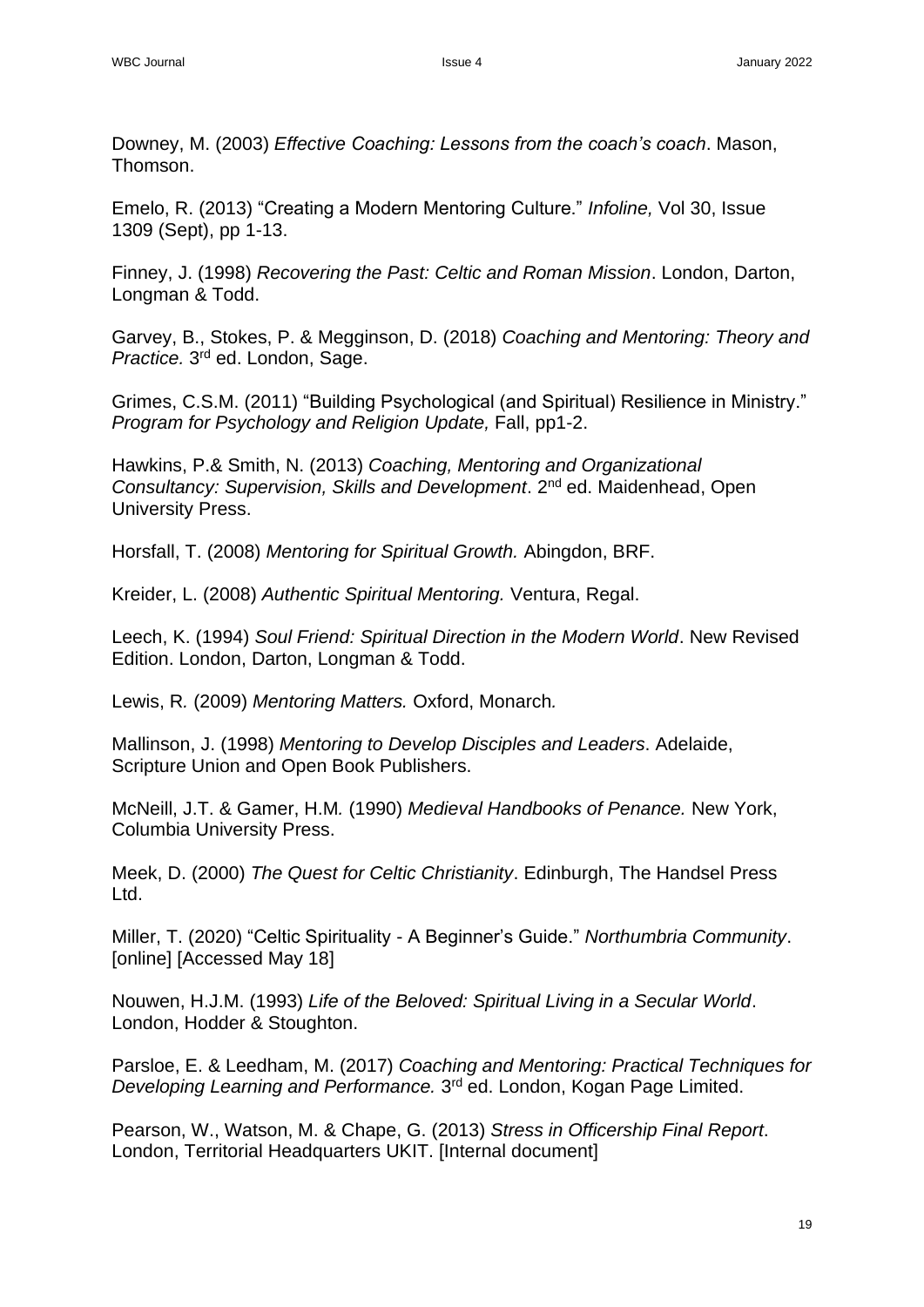Downey, M. (2003) *Effective Coaching: Lessons from the coach's coach*. Mason, Thomson.

Emelo, R. (2013) "Creating a Modern Mentoring Culture." *Infoline,* Vol 30, Issue 1309 (Sept), pp 1-13.

Finney, J. (1998) *Recovering the Past: Celtic and Roman Mission*. London, Darton, Longman & Todd.

Garvey, B., Stokes, P. & Megginson, D. (2018) *Coaching and Mentoring: Theory and*  Practice. 3<sup>rd</sup> ed. London, Sage.

Grimes, C.S.M. (2011) "Building Psychological (and Spiritual) Resilience in Ministry." *Program for Psychology and Religion Update,* Fall, pp1-2.

Hawkins, P.& Smith, N. (2013) *Coaching, Mentoring and Organizational Consultancy: Supervision, Skills and Development*. 2nd ed. Maidenhead, Open University Press.

Horsfall, T. (2008) *Mentoring for Spiritual Growth.* Abingdon, BRF.

Kreider, L. (2008) *Authentic Spiritual Mentoring.* Ventura, Regal.

Leech, K. (1994) *Soul Friend: Spiritual Direction in the Modern World*. New Revised Edition. London, Darton, Longman & Todd.

Lewis, R*.* (2009) *Mentoring Matters.* Oxford, Monarch*.*

Mallinson, J. (1998) *Mentoring to Develop Disciples and Leaders*. Adelaide, Scripture Union and Open Book Publishers.

McNeill, J.T. & Gamer, H.M*.* (1990) *Medieval Handbooks of Penance.* New York, Columbia University Press.

Meek, D. (2000) *The Quest for Celtic Christianity*. Edinburgh, The Handsel Press Ltd.

Miller, T. (2020) "Celtic Spirituality - A Beginner's Guide." *Northumbria Community*. [online] [Accessed May 18]

Nouwen, H.J.M. (1993) *Life of the Beloved: Spiritual Living in a Secular World*. London, Hodder & Stoughton.

Parsloe, E. & Leedham, M. (2017) *Coaching and Mentoring: Practical Techniques for Developing Learning and Performance.* 3 rd ed. London, Kogan Page Limited.

Pearson, W., Watson, M. & Chape, G. (2013) *Stress in Officership Final Report*. London, Territorial Headquarters UKIT. [Internal document]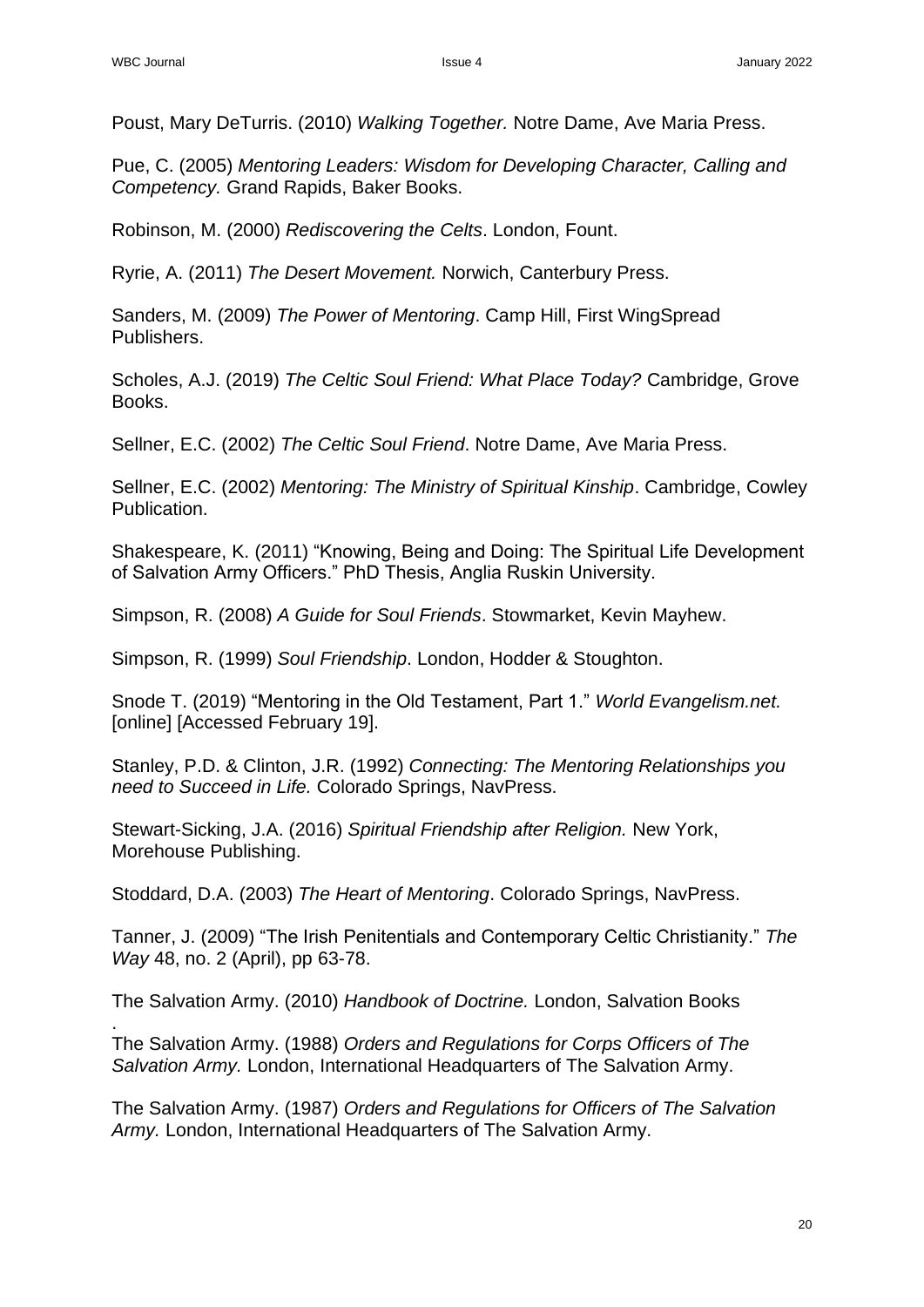.

Poust, Mary DeTurris. (2010) *Walking Together.* Notre Dame, Ave Maria Press.

Pue, C. (2005) *Mentoring Leaders: Wisdom for Developing Character, Calling and Competency.* Grand Rapids, Baker Books.

Robinson, M. (2000) *Rediscovering the Celts*. London, Fount.

Ryrie, A. (2011) *The Desert Movement.* Norwich, Canterbury Press.

Sanders, M. (2009) *The Power of Mentoring*. Camp Hill, First WingSpread Publishers.

Scholes, A.J. (2019) *The Celtic Soul Friend: What Place Today?* Cambridge, Grove Books.

Sellner, E.C. (2002) *The Celtic Soul Friend*. Notre Dame, Ave Maria Press.

Sellner, E.C. (2002) *Mentoring: The Ministry of Spiritual Kinship*. Cambridge, Cowley Publication.

Shakespeare, K. (2011) "Knowing, Being and Doing: The Spiritual Life Development of Salvation Army Officers." PhD Thesis, Anglia Ruskin University.

Simpson, R. (2008) *A Guide for Soul Friends*. Stowmarket, Kevin Mayhew.

Simpson, R. (1999) *Soul Friendship*. London, Hodder & Stoughton.

Snode T. (2019) "Mentoring in the Old Testament, Part 1." *World Evangelism.net.*  [online] [Accessed February 19].

Stanley, P.D. & Clinton, J.R. (1992) *Connecting: The Mentoring Relationships you need to Succeed in Life.* Colorado Springs, NavPress.

Stewart-Sicking, J.A. (2016) *Spiritual Friendship after Religion.* New York, Morehouse Publishing.

Stoddard, D.A. (2003) *The Heart of Mentoring*. Colorado Springs, NavPress.

Tanner, J. (2009) "The Irish Penitentials and Contemporary Celtic Christianity." *The Way* 48, no. 2 (April), pp 63-78.

The Salvation Army. (2010) *Handbook of Doctrine.* London, Salvation Books

The Salvation Army. (1988) *Orders and Regulations for Corps Officers of The Salvation Army.* London, International Headquarters of The Salvation Army.

The Salvation Army. (1987) *Orders and Regulations for Officers of The Salvation Army.* London, International Headquarters of The Salvation Army.